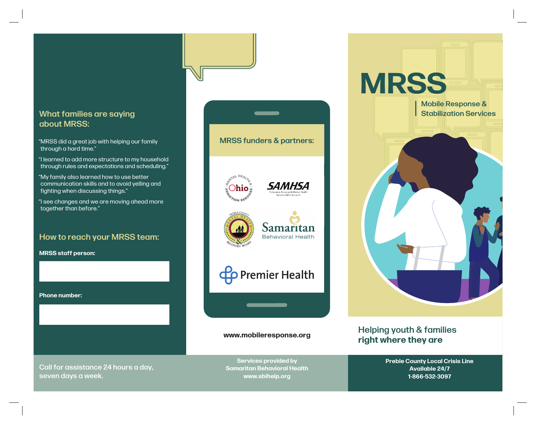## about MRSS:

"MRSS did a great job with helping our family through a hard time."

"I learned to add more structure to my household through rules and expectations and scheduling."

"My family also learned how to use better communication skills and to avoid yelling and fighting when discussing things."

"I see changes and we are moving ahead more together than before."

#### How to reach your MRSS team:

**MRSS staff person:**

**Phone number:**



**www.mobileresponse.org**



#### Helping youth & families **right where they are**

**Preble County Local Crisis Line Available 24/7 1-866-532-3097**

Call for assistance 24 hours a day, seven days a week.

**Services provided by Samaritan Behavioral Health www.sbihelp.org**